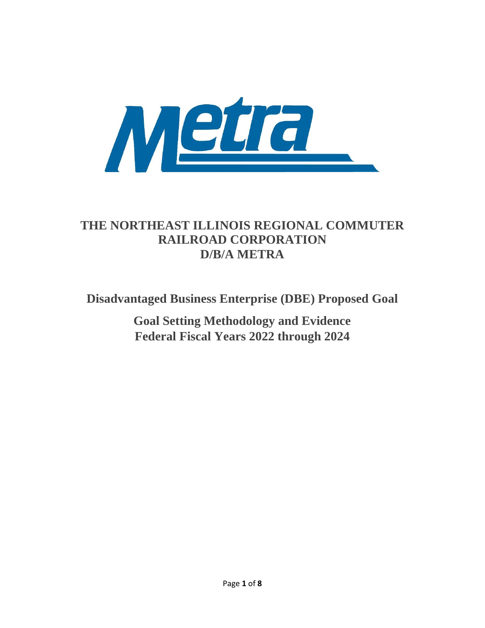

# **THE NORTHEAST ILLINOIS REGIONAL COMMUTER RAILROAD CORPORATION D/B/A METRA**

**Disadvantaged Business Enterprise (DBE) Proposed Goal**

**Goal Setting Methodology and Evidence Federal Fiscal Years 2022 through 2024**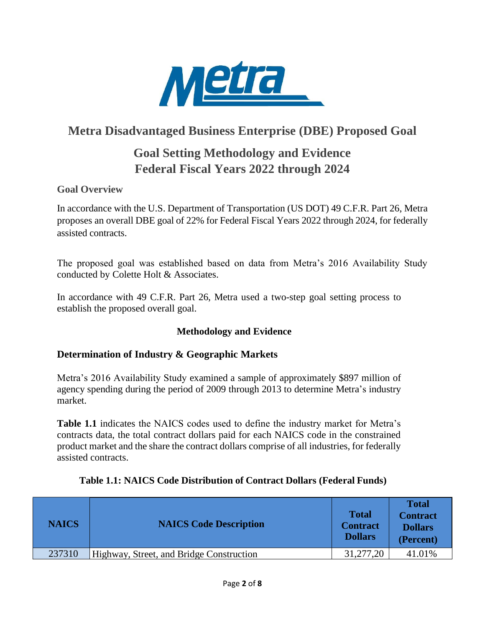

## **Metra Disadvantaged Business Enterprise (DBE) Proposed Goal**

# **Goal Setting Methodology and Evidence Federal Fiscal Years 2022 through 2024**

## **Goal Overview**

In accordance with the U.S. Department of Transportation (US DOT) 49 C.F.R. Part 26, Metra proposes an overall DBE goal of 22% for Federal Fiscal Years 2022 through 2024, for federally assisted contracts.

The proposed goal was established based on data from Metra's 2016 Availability Study conducted by Colette Holt & Associates.

In accordance with 49 C.F.R. Part 26, Metra used a two-step goal setting process to establish the proposed overall goal.

## **Methodology and Evidence**

## **Determination of Industry & Geographic Markets**

Metra's 2016 Availability Study examined a sample of approximately \$897 million of agency spending during the period of 2009 through 2013 to determine Metra's industry market.

**Table 1.1** indicates the NAICS codes used to define the industry market for Metra's contracts data, the total contract dollars paid for each NAICS code in the constrained product market and the share the contract dollars comprise of all industries, for federally assisted contracts.

| <b>NAICS</b> | <b>NAICS Code Description</b>            | <b>Total</b><br><b>Contract</b><br><b>Dollars</b> | <b>Total</b><br><b>Contract</b><br><b>Dollars</b><br>(Percent) |
|--------------|------------------------------------------|---------------------------------------------------|----------------------------------------------------------------|
| 237310       | Highway, Street, and Bridge Construction | 31,277,20                                         | 41.01%                                                         |

#### **Table 1.1: NAICS Code Distribution of Contract Dollars (Federal Funds)**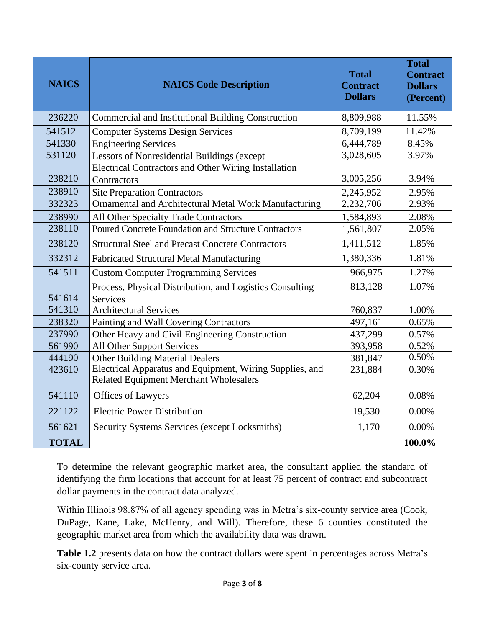| <b>NAICS</b> | <b>NAICS Code Description</b>                                                                             | <b>Total</b><br><b>Contract</b><br><b>Dollars</b> | <b>Total</b><br><b>Contract</b><br><b>Dollars</b><br>(Percent) |
|--------------|-----------------------------------------------------------------------------------------------------------|---------------------------------------------------|----------------------------------------------------------------|
| 236220       | Commercial and Institutional Building Construction                                                        | 8,809,988                                         | 11.55%                                                         |
| 541512       | <b>Computer Systems Design Services</b>                                                                   | 8,709,199                                         | 11.42%                                                         |
| 541330       | <b>Engineering Services</b>                                                                               | 6,444,789                                         | 8.45%                                                          |
| 531120       | Lessors of Nonresidential Buildings (except                                                               | 3,028,605                                         | 3.97%                                                          |
| 238210       | <b>Electrical Contractors and Other Wiring Installation</b><br>Contractors                                | 3,005,256                                         | 3.94%                                                          |
| 238910       | <b>Site Preparation Contractors</b>                                                                       | 2,245,952                                         | 2.95%                                                          |
| 332323       | Ornamental and Architectural Metal Work Manufacturing                                                     | 2,232,706                                         | 2.93%                                                          |
| 238990       | All Other Specialty Trade Contractors                                                                     | 1,584,893                                         | 2.08%                                                          |
| 238110       | <b>Poured Concrete Foundation and Structure Contractors</b>                                               | 1,561,807                                         | 2.05%                                                          |
| 238120       | <b>Structural Steel and Precast Concrete Contractors</b>                                                  | 1,411,512                                         | 1.85%                                                          |
| 332312       | <b>Fabricated Structural Metal Manufacturing</b>                                                          | 1,380,336                                         | 1.81%                                                          |
| 541511       | <b>Custom Computer Programming Services</b>                                                               | 966,975                                           | 1.27%                                                          |
| 541614       | Process, Physical Distribution, and Logistics Consulting<br>Services                                      | 813,128                                           | 1.07%                                                          |
| 541310       | <b>Architectural Services</b>                                                                             | 760,837                                           | 1.00%                                                          |
| 238320       | Painting and Wall Covering Contractors                                                                    | 497,161                                           | 0.65%                                                          |
| 237990       | Other Heavy and Civil Engineering Construction                                                            | 437,299                                           | 0.57%                                                          |
| 561990       | <b>All Other Support Services</b>                                                                         | 393,958                                           | 0.52%                                                          |
| 444190       | <b>Other Building Material Dealers</b>                                                                    | 381,847                                           | 0.50%                                                          |
| 423610       | Electrical Apparatus and Equipment, Wiring Supplies, and<br><b>Related Equipment Merchant Wholesalers</b> | 231,884                                           | 0.30%                                                          |
| 541110       | Offices of Lawyers                                                                                        | 62,204                                            | 0.08%                                                          |
| 221122       | <b>Electric Power Distribution</b>                                                                        | 19,530                                            | 0.00%                                                          |
| 561621       | Security Systems Services (except Locksmiths)                                                             | 1,170                                             | 0.00%                                                          |
| <b>TOTAL</b> |                                                                                                           |                                                   | 100.0%                                                         |

To determine the relevant geographic market area, the consultant applied the standard of identifying the firm locations that account for at least 75 percent of contract and subcontract dollar payments in the contract data analyzed.

Within Illinois 98.87% of all agency spending was in Metra's six-county service area (Cook, DuPage, Kane, Lake, McHenry, and Will). Therefore, these 6 counties constituted the geographic market area from which the availability data was drawn.

**Table 1.2** presents data on how the contract dollars were spent in percentages across Metra's six-county service area.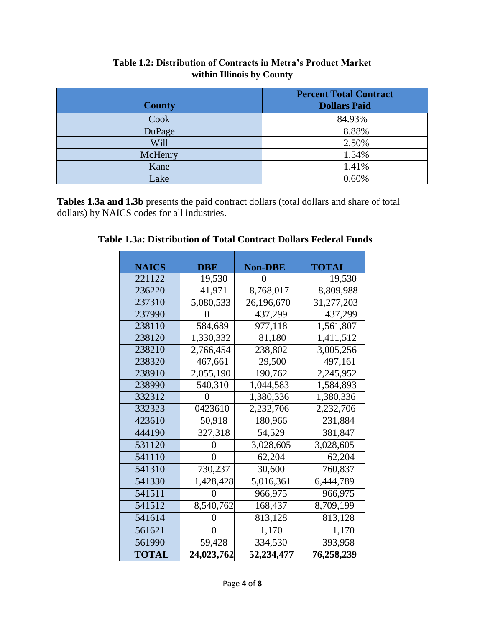| <b>County</b> | <b>Percent Total Contract</b><br><b>Dollars Paid</b> |
|---------------|------------------------------------------------------|
|               |                                                      |
| Cook          | 84.93%                                               |
| DuPage        | 8.88%                                                |
| Will          | 2.50%                                                |
| McHenry       | 1.54%                                                |
| Kane          | 1.41%                                                |
| Lake          | 0.60%                                                |

## **Table 1.2: Distribution of Contracts in Metra's Product Market within Illinois by County**

**Tables 1.3a and 1.3b** presents the paid contract dollars (total dollars and share of total dollars) by NAICS codes for all industries.

| <b>NAICS</b> | DBE        | <b>Non-DBE</b> | TOTAL      |  |
|--------------|------------|----------------|------------|--|
| 221122       | 19,530     | $\theta$       | 19,530     |  |
| 236220       | 41,971     | 8,768,017      | 8,809,988  |  |
| 237310       | 5,080,533  | 26,196,670     | 31,277,203 |  |
| 237990       |            | 437,299        | 437,299    |  |
| 238110       | 584,689    | 977,118        | 1,561,807  |  |
| 238120       | 1,330,332  | 81,180         | 1,411,512  |  |
| 238210       | 2,766,454  | 238,802        | 3,005,256  |  |
| 238320       | 467,661    | 29,500         | 497,161    |  |
| 238910       | 2,055,190  | 190,762        | 2,245,952  |  |
| 238990       | 540,310    | 1,044,583      | 1,584,893  |  |
| 332312       |            | 1,380,336      | 1,380,336  |  |
| 332323       | 0423610    | 2,232,706      | 2,232,706  |  |
| 423610       | 50,918     | 180,966        | 231,884    |  |
| 444190       | 327,318    | 54,529         | 381,847    |  |
| 531120       | 0          | 3,028,605      | 3,028,605  |  |
| 541110       | $\theta$   | 62,204         | 62,204     |  |
| 541310       | 730,237    | 30,600         | 760,837    |  |
| 541330       | 1,428,428  | 5,016,361      | 6,444,789  |  |
| 541511       |            | 966,975        | 966,975    |  |
| 541512       | 8,540,762  | 168,437        | 8,709,199  |  |
| 541614       | 0          | 813,128        | 813,128    |  |
| 561621       | $\theta$   | 1,170          | 1,170      |  |
| 561990       | 59,428     | 334,530        | 393,958    |  |
| <b>TOTAL</b> | 24,023,762 | 52,234,477     | 76,258,239 |  |

**Table 1.3a: Distribution of Total Contract Dollars Federal Funds**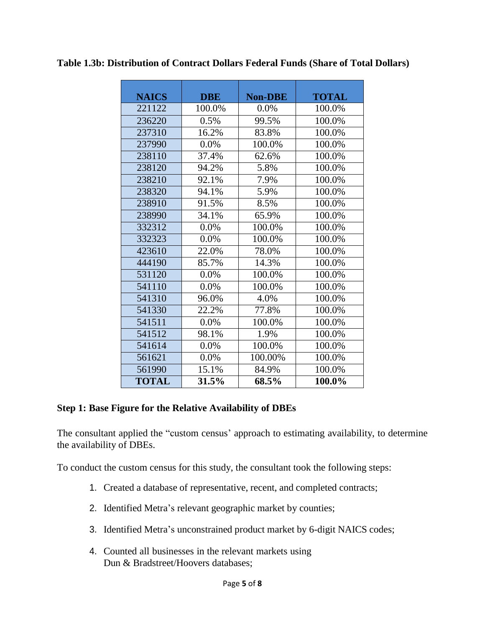| <b>NAICS</b> | <b>DBE</b> | <b>Non-DBE</b> | <b>TOTAL</b> |
|--------------|------------|----------------|--------------|
| 221122       | 100.0%     | 0.0%           | 100.0%       |
| 236220       | 0.5%       | 99.5%          | 100.0%       |
| 237310       | 16.2%      | 83.8%          | 100.0%       |
| 237990       | 0.0%       | 100.0%         | 100.0%       |
| 238110       | 37.4%      | 62.6%          | 100.0%       |
| 238120       | 94.2%      | 5.8%           | 100.0%       |
| 238210       | 92.1%      | 7.9%           | 100.0%       |
| 238320       | 94.1%      | 5.9%           | 100.0%       |
| 238910       | 91.5%      | 8.5%           | 100.0%       |
| 238990       | 34.1%      | 65.9%          | 100.0%       |
| 332312       | 0.0%       | 100.0%         | 100.0%       |
| 332323       | 0.0%       | 100.0%         | 100.0%       |
| 423610       | 22.0%      | 78.0%          | 100.0%       |
| 444190       | 85.7%      | 14.3%          | 100.0%       |
| 531120       | 0.0%       | 100.0%         | 100.0%       |
| 541110       | 0.0%       | 100.0%         | 100.0%       |
| 541310       | 96.0%      | 4.0%           | 100.0%       |
| 541330       | 22.2%      | 77.8%          | 100.0%       |
| 541511       | $0.0\%$    | 100.0%         | 100.0%       |
| 541512       | 98.1%      | 1.9%           | 100.0%       |
| 541614       | 0.0%       | 100.0%         | 100.0%       |
| 561621       | 0.0%       | 100.00%        | 100.0%       |
| 561990       | 15.1%      | 84.9%          | 100.0%       |
| <b>TOTAL</b> | 31.5%      | 68.5%          | 100.0%       |

**Table 1.3b: Distribution of Contract Dollars Federal Funds (Share of Total Dollars)**

#### **Step 1: Base Figure for the Relative Availability of DBEs**

The consultant applied the "custom census' approach to estimating availability, to determine the availability of DBEs.

To conduct the custom census for this study, the consultant took the following steps:

- 1. Created a database of representative, recent, and completed contracts;
- 2. Identified Metra's relevant geographic market by counties;
- 3. Identified Metra's unconstrained product market by 6-digit NAICS codes;
- 4. Counted all businesses in the relevant markets using Dun & Bradstreet/Hoovers databases;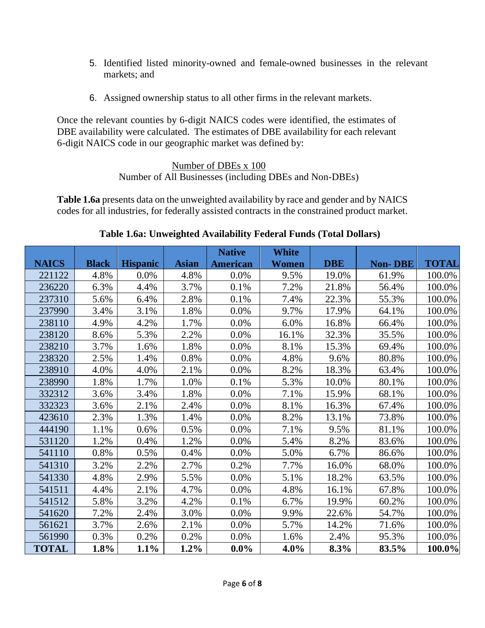- 5. Identified listed minority-owned and female-owned businesses in the relevant markets; and
- 6. Assigned ownership status to all other firms in the relevant markets.

Once the relevant counties by 6-digit NAICS codes were identified, the estimates of DBE availability were calculated. The estimates of DBE availability for each relevant 6-digit NAICS code in our geographic market was defined by:

#### Number of DBEs x 100 Number of All Businesses (including DBEs and Non-DBEs)

**Table 1.6a** presents data on the unweighted availability by race and gender and by NAICS codes for all industries, for federally assisted contracts in the constrained product market.

|              |              |                 |              | <b>Native</b>   | <b>White</b> |            |                |              |
|--------------|--------------|-----------------|--------------|-----------------|--------------|------------|----------------|--------------|
| <b>NAICS</b> | <b>Black</b> | <b>Hispanic</b> | <b>Asian</b> | <b>American</b> | Women        | <b>DBE</b> | <b>Non-DBE</b> | <b>TOTAL</b> |
| 221122       | 4.8%         | 0.0%            | 4.8%         | 0.0%            | 9.5%         | 19.0%      | 61.9%          | 100.0%       |
| 236220       | 6.3%         | 4.4%            | 3.7%         | 0.1%            | 7.2%         | 21.8%      | 56.4%          | 100.0%       |
| 237310       | 5.6%         | 6.4%            | 2.8%         | 0.1%            | 7.4%         | 22.3%      | 55.3%          | 100.0%       |
| 237990       | 3.4%         | 3.1%            | 1.8%         | 0.0%            | 9.7%         | 17.9%      | 64.1%          | 100.0%       |
| 238110       | 4.9%         | 4.2%            | 1.7%         | 0.0%            | 6.0%         | 16.8%      | 66.4%          | 100.0%       |
| 238120       | 8.6%         | 5.3%            | 2.2%         | 0.0%            | 16.1%        | 32.3%      | 35.5%          | 100.0%       |
| 238210       | 3.7%         | 1.6%            | 1.8%         | 0.0%            | 8.1%         | 15.3%      | 69.4%          | 100.0%       |
| 238320       | 2.5%         | 1.4%            | 0.8%         | 0.0%            | 4.8%         | 9.6%       | 80.8%          | 100.0%       |
| 238910       | 4.0%         | 4.0%            | 2.1%         | 0.0%            | 8.2%         | 18.3%      | 63.4%          | 100.0%       |
| 238990       | 1.8%         | 1.7%            | 1.0%         | 0.1%            | 5.3%         | 10.0%      | 80.1%          | 100.0%       |
| 332312       | 3.6%         | 3.4%            | 1.8%         | 0.0%            | 7.1%         | 15.9%      | 68.1%          | 100.0%       |
| 332323       | 3.6%         | 2.1%            | 2.4%         | 0.0%            | 8.1%         | 16.3%      | 67.4%          | 100.0%       |
| 423610       | 2.3%         | 1.3%            | 1.4%         | 0.0%            | 8.2%         | 13.1%      | 73.8%          | 100.0%       |
| 444190       | 1.1%         | 0.6%            | 0.5%         | 0.0%            | 7.1%         | 9.5%       | 81.1%          | 100.0%       |
| 531120       | 1.2%         | 0.4%            | 1.2%         | 0.0%            | 5.4%         | 8.2%       | 83.6%          | 100.0%       |
| 541110       | 0.8%         | 0.5%            | 0.4%         | 0.0%            | 5.0%         | 6.7%       | 86.6%          | 100.0%       |
| 541310       | 3.2%         | 2.2%            | 2.7%         | 0.2%            | 7.7%         | 16.0%      | 68.0%          | 100.0%       |
| 541330       | 4.8%         | 2.9%            | 5.5%         | 0.0%            | 5.1%         | 18.2%      | 63.5%          | 100.0%       |
| 541511       | 4.4%         | 2.1%            | 4.7%         | 0.0%            | 4.8%         | 16.1%      | 67.8%          | 100.0%       |
| 541512       | 5.8%         | 3.2%            | 4.2%         | 0.1%            | 6.7%         | 19.9%      | 60.2%          | 100.0%       |
| 541620       | 7.2%         | 2.4%            | 3.0%         | 0.0%            | 9.9%         | 22.6%      | 54.7%          | 100.0%       |
| 561621       | 3.7%         | 2.6%            | 2.1%         | 0.0%            | 5.7%         | 14.2%      | 71.6%          | 100.0%       |
| 561990       | 0.3%         | 0.2%            | 0.2%         | 0.0%            | 1.6%         | 2.4%       | 95.3%          | 100.0%       |
| <b>TOTAL</b> | 1.8%         | 1.1%            | $1.2\%$      | $0.0\%$         | $4.0\%$      | 8.3%       | 83.5%          | 100.0%       |

## **Table 1.6a: Unweighted Availability Federal Funds (Total Dollars)**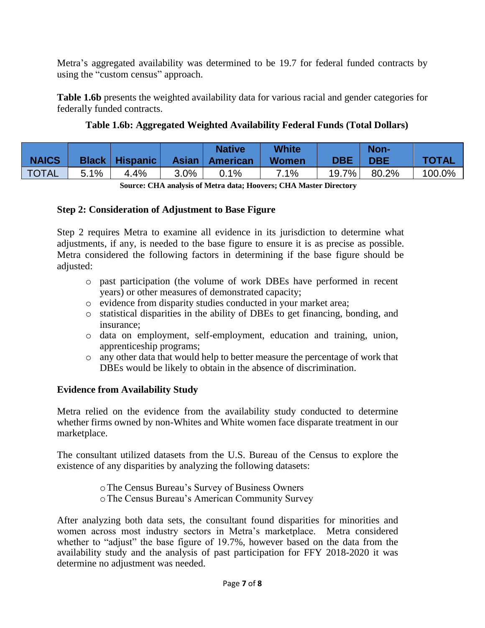Metra's aggregated availability was determined to be 19.7 for federal funded contracts by using the "custom census" approach.

**Table 1.6b** presents the weighted availability data for various racial and gender categories for federally funded contracts.

## **Table 1.6b: Aggregated Weighted Availability Federal Funds (Total Dollars)**

|              |      |                           |      | <b>Native</b>    | <b>White</b> |            | Non-       |              |
|--------------|------|---------------------------|------|------------------|--------------|------------|------------|--------------|
| <b>NAICS</b> |      | <b>Black   Hispanic  </b> |      | Asian   American | <b>Women</b> | <b>DBE</b> | <b>DBE</b> | <b>TOTAL</b> |
| <b>TOTAL</b> | 5.1% | 4.4%                      | 3.0% | 0.1%             | 7.1%         | 19.7%」     | 80.2%      | 100.0%       |

**Source: CHA analysis of Metra data; Hoovers; CHA Master Directory**

#### **Step 2: Consideration of Adjustment to Base Figure**

Step 2 requires Metra to examine all evidence in its jurisdiction to determine what adjustments, if any, is needed to the base figure to ensure it is as precise as possible. Metra considered the following factors in determining if the base figure should be adjusted:

- o past participation (the volume of work DBEs have performed in recent years) or other measures of demonstrated capacity;
- o evidence from disparity studies conducted in your market area;
- o statistical disparities in the ability of DBEs to get financing, bonding, and insurance;
- o data on employment, self-employment, education and training, union, apprenticeship programs;
- o any other data that would help to better measure the percentage of work that DBEs would be likely to obtain in the absence of discrimination.

## **Evidence from Availability Study**

Metra relied on the evidence from the availability study conducted to determine whether firms owned by non-Whites and White women face disparate treatment in our marketplace.

The consultant utilized datasets from the U.S. Bureau of the Census to explore the existence of any disparities by analyzing the following datasets:

oThe Census Bureau's Survey of Business Owners

oThe Census Bureau's American Community Survey

After analyzing both data sets, the consultant found disparities for minorities and women across most industry sectors in Metra's marketplace. Metra considered whether to "adjust" the base figure of 19.7%, however based on the data from the availability study and the analysis of past participation for FFY 2018-2020 it was determine no adjustment was needed.